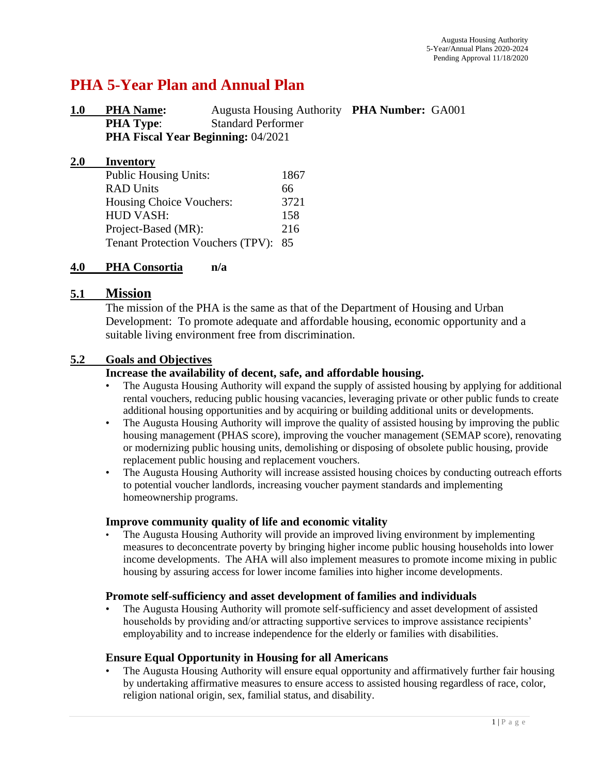# **PHA 5-Year Plan and Annual Plan**

| 1.0 | <b>PHA Name:</b>                          | Augusta Housing Authority PHA Number: GA001 |  |
|-----|-------------------------------------------|---------------------------------------------|--|
|     | <b>PHA Type:</b>                          | <b>Standard Performer</b>                   |  |
|     | <b>PHA Fiscal Year Beginning: 04/2021</b> |                                             |  |

| <b>2.0</b> | <b>Inventory</b>                         |      |
|------------|------------------------------------------|------|
|            | <b>Public Housing Units:</b>             | 1867 |
|            | <b>RAD Units</b>                         | 66   |
|            | Housing Choice Vouchers:                 | 3721 |
|            | <b>HUD VASH:</b>                         | 158  |
|            | Project-Based (MR):                      | 216  |
|            | <b>Tenant Protection Vouchers (TPV):</b> | 85   |

### **4.0 PHA Consortia n/a**

### **5.1 Mission**

The mission of the PHA is the same as that of the Department of Housing and Urban Development: To promote adequate and affordable housing, economic opportunity and a suitable living environment free from discrimination.

### **5.2 Goals and Objectives**

### **Increase the availability of decent, safe, and affordable housing.**

- The Augusta Housing Authority will expand the supply of assisted housing by applying for additional rental vouchers, reducing public housing vacancies, leveraging private or other public funds to create additional housing opportunities and by acquiring or building additional units or developments.
- The Augusta Housing Authority will improve the quality of assisted housing by improving the public housing management (PHAS score), improving the voucher management (SEMAP score), renovating or modernizing public housing units, demolishing or disposing of obsolete public housing, provide replacement public housing and replacement vouchers.
- The Augusta Housing Authority will increase assisted housing choices by conducting outreach efforts to potential voucher landlords, increasing voucher payment standards and implementing homeownership programs.

### **Improve community quality of life and economic vitality**

• The Augusta Housing Authority will provide an improved living environment by implementing measures to deconcentrate poverty by bringing higher income public housing households into lower income developments. The AHA will also implement measures to promote income mixing in public housing by assuring access for lower income families into higher income developments.

### **Promote self-sufficiency and asset development of families and individuals**

• The Augusta Housing Authority will promote self-sufficiency and asset development of assisted households by providing and/or attracting supportive services to improve assistance recipients' employability and to increase independence for the elderly or families with disabilities.

### **Ensure Equal Opportunity in Housing for all Americans**

• The Augusta Housing Authority will ensure equal opportunity and affirmatively further fair housing by undertaking affirmative measures to ensure access to assisted housing regardless of race, color, religion national origin, sex, familial status, and disability.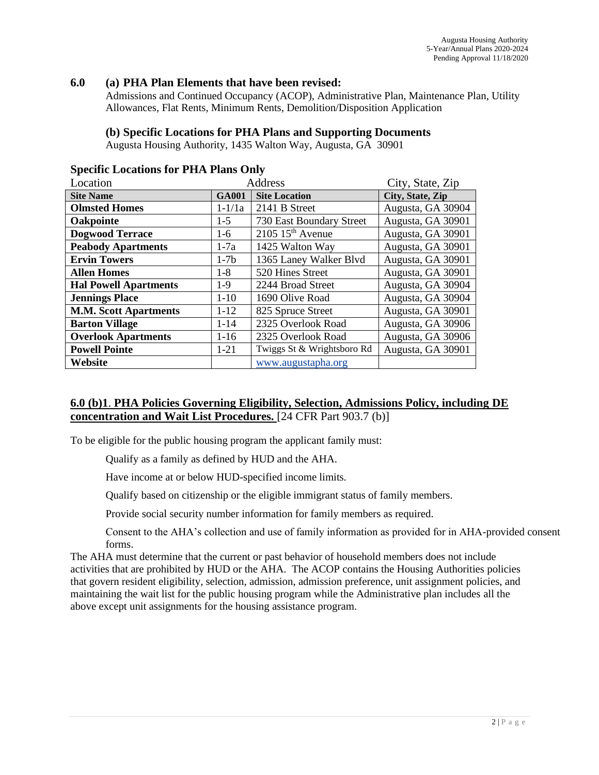### **6.0 (a) PHA Plan Elements that have been revised:**

Admissions and Continued Occupancy (ACOP), Administrative Plan, Maintenance Plan, Utility Allowances, Flat Rents, Minimum Rents, Demolition/Disposition Application

### **(b) Specific Locations for PHA Plans and Supporting Documents**

Augusta Housing Authority, 1435 Walton Way, Augusta, GA 30901

| Location                     |              | <b>Address</b>                 | City, State, Zip  |  |
|------------------------------|--------------|--------------------------------|-------------------|--|
| <b>Site Name</b>             | <b>GA001</b> | <b>Site Location</b>           | City, State, Zip  |  |
| <b>Olmsted Homes</b>         | $1 - 1/1a$   | 2141 B Street                  | Augusta, GA 30904 |  |
| Oakpointe                    | $1-5$        | 730 East Boundary Street       | Augusta, GA 30901 |  |
| <b>Dogwood Terrace</b>       | $1-6$        | $2105$ 15 <sup>th</sup> Avenue | Augusta, GA 30901 |  |
| <b>Peabody Apartments</b>    | $1-7a$       | 1425 Walton Way                | Augusta, GA 30901 |  |
| <b>Ervin Towers</b>          | $1-7b$       | 1365 Laney Walker Blvd         | Augusta, GA 30901 |  |
| <b>Allen Homes</b>           | $1-8$        | 520 Hines Street               | Augusta, GA 30901 |  |
| <b>Hal Powell Apartments</b> | $1-9$        | 2244 Broad Street              | Augusta, GA 30904 |  |
| <b>Jennings Place</b>        | $1-10$       | 1690 Olive Road                | Augusta, GA 30904 |  |
| <b>M.M. Scott Apartments</b> | $1 - 12$     | 825 Spruce Street              | Augusta, GA 30901 |  |
| <b>Barton Village</b>        | $1 - 14$     | 2325 Overlook Road             | Augusta, GA 30906 |  |
| <b>Overlook Apartments</b>   | $1-16$       | 2325 Overlook Road             | Augusta, GA 30906 |  |
| <b>Powell Pointe</b>         | $1 - 21$     | Twiggs St & Wrightsboro Rd     | Augusta, GA 30901 |  |
| Website                      |              | www.augustapha.org             |                   |  |

### **Specific Locations for PHA Plans Only**

### **6.0 (b)1**. **PHA Policies Governing Eligibility, Selection, Admissions Policy, including DE concentration and Wait List Procedures.** [24 CFR Part 903.7 (b)]

To be eligible for the public housing program the applicant family must:

Qualify as a family as defined by HUD and the AHA.

Have income at or below HUD-specified income limits.

Qualify based on citizenship or the eligible immigrant status of family members.

Provide social security number information for family members as required.

Consent to the AHA's collection and use of family information as provided for in AHA-provided consent forms.

The AHA must determine that the current or past behavior of household members does not include activities that are prohibited by HUD or the AHA. The ACOP contains the Housing Authorities policies that govern resident eligibility, selection, admission, admission preference, unit assignment policies, and maintaining the wait list for the public housing program while the Administrative plan includes all the above except unit assignments for the housing assistance program.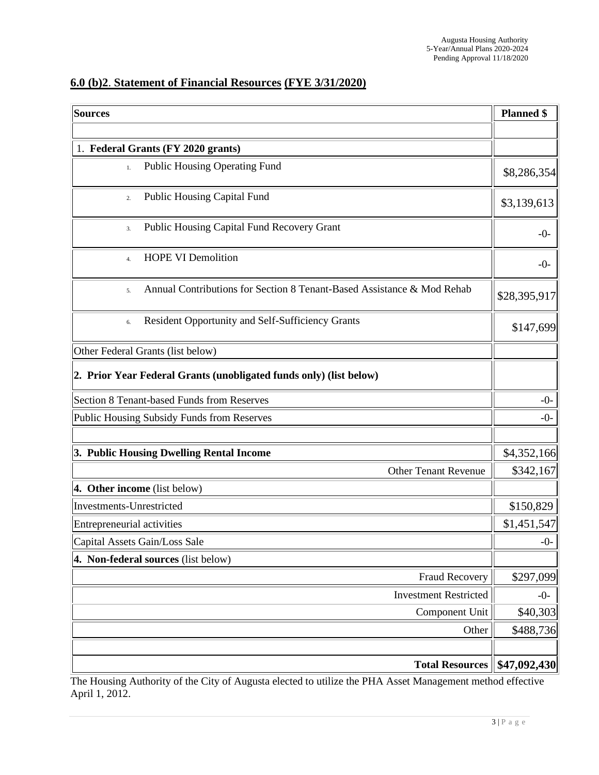# **6.0 (b)2**. **Statement of Financial Resources (FYE 3/31/2020)**

| <b>Sources</b>                                                               | <b>Planned</b> \$    |  |  |  |  |  |
|------------------------------------------------------------------------------|----------------------|--|--|--|--|--|
|                                                                              |                      |  |  |  |  |  |
| 1. Federal Grants (FY 2020 grants)                                           |                      |  |  |  |  |  |
| Public Housing Operating Fund<br>1.                                          |                      |  |  |  |  |  |
| <b>Public Housing Capital Fund</b><br>2.                                     | \$3,139,613          |  |  |  |  |  |
| Public Housing Capital Fund Recovery Grant<br>3.                             | $-0-$                |  |  |  |  |  |
| <b>HOPE VI Demolition</b><br>4.                                              | $-0-$                |  |  |  |  |  |
| Annual Contributions for Section 8 Tenant-Based Assistance & Mod Rehab<br>5. | \$28,395,917         |  |  |  |  |  |
| Resident Opportunity and Self-Sufficiency Grants<br>6.                       | \$147,699            |  |  |  |  |  |
| Other Federal Grants (list below)                                            |                      |  |  |  |  |  |
| 2. Prior Year Federal Grants (unobligated funds only) (list below)           |                      |  |  |  |  |  |
| Section 8 Tenant-based Funds from Reserves                                   | $-0-$                |  |  |  |  |  |
| Public Housing Subsidy Funds from Reserves                                   | $-0-$                |  |  |  |  |  |
| 3. Public Housing Dwelling Rental Income                                     | \$4,352,166          |  |  |  |  |  |
| <b>Other Tenant Revenue</b>                                                  | \$342,167            |  |  |  |  |  |
| 4. Other income (list below)                                                 |                      |  |  |  |  |  |
| <b>Investments-Unrestricted</b>                                              | \$150,829            |  |  |  |  |  |
| Entrepreneurial activities                                                   |                      |  |  |  |  |  |
| Capital Assets Gain/Loss Sale                                                | \$1,451,547<br>$-0-$ |  |  |  |  |  |
| 4. Non-federal sources (list below)                                          |                      |  |  |  |  |  |
| Fraud Recovery                                                               | \$297,099            |  |  |  |  |  |
| <b>Investment Restricted</b>                                                 | $-0-$                |  |  |  |  |  |
| Component Unit                                                               | \$40,303             |  |  |  |  |  |
| Other                                                                        | \$488,736            |  |  |  |  |  |
|                                                                              |                      |  |  |  |  |  |
| <b>Total Resources</b>                                                       | \$47,092,430         |  |  |  |  |  |

The Housing Authority of the City of Augusta elected to utilize the PHA Asset Management method effective April 1, 2012.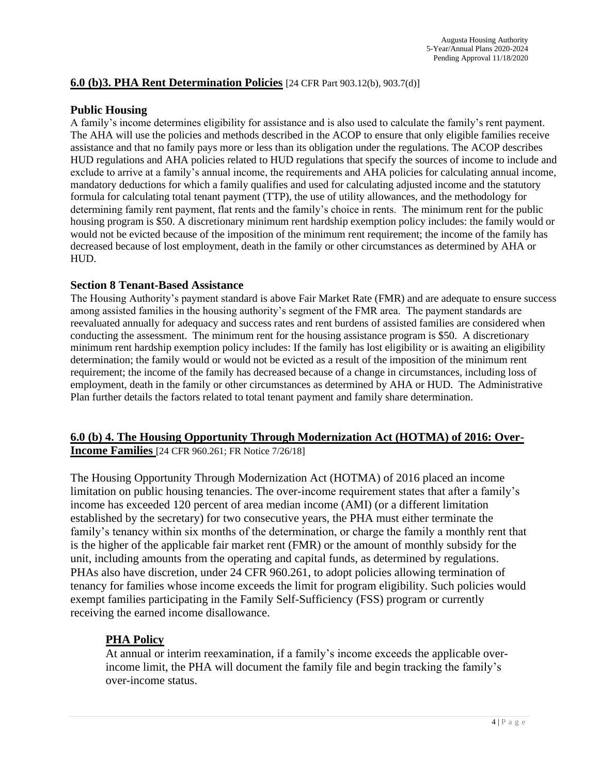### **6.0 (b)3. PHA Rent Determination Policies** [24 CFR Part 903.12(b), 903.7(d)]

#### **Public Housing**

A family's income determines eligibility for assistance and is also used to calculate the family's rent payment. The AHA will use the policies and methods described in the ACOP to ensure that only eligible families receive assistance and that no family pays more or less than its obligation under the regulations. The ACOP describes HUD regulations and AHA policies related to HUD regulations that specify the sources of income to include and exclude to arrive at a family's annual income, the requirements and AHA policies for calculating annual income, mandatory deductions for which a family qualifies and used for calculating adjusted income and the statutory formula for calculating total tenant payment (TTP), the use of utility allowances, and the methodology for determining family rent payment, flat rents and the family's choice in rents. The minimum rent for the public housing program is \$50. A discretionary minimum rent hardship exemption policy includes: the family would or would not be evicted because of the imposition of the minimum rent requirement; the income of the family has decreased because of lost employment, death in the family or other circumstances as determined by AHA or HUD.

### **Section 8 Tenant-Based Assistance**

The Housing Authority's payment standard is above Fair Market Rate (FMR) and are adequate to ensure success among assisted families in the housing authority's segment of the FMR area. The payment standards are reevaluated annually for adequacy and success rates and rent burdens of assisted families are considered when conducting the assessment. The minimum rent for the housing assistance program is \$50. A discretionary minimum rent hardship exemption policy includes: If the family has lost eligibility or is awaiting an eligibility determination; the family would or would not be evicted as a result of the imposition of the minimum rent requirement; the income of the family has decreased because of a change in circumstances, including loss of employment, death in the family or other circumstances as determined by AHA or HUD. The Administrative Plan further details the factors related to total tenant payment and family share determination.

### **6.0 (b) 4. The Housing Opportunity Through Modernization Act (HOTMA) of 2016: Over-Income Families** [24 CFR 960.261; FR Notice 7/26/18]

The Housing Opportunity Through Modernization Act (HOTMA) of 2016 placed an income limitation on public housing tenancies. The over-income requirement states that after a family's income has exceeded 120 percent of area median income (AMI) (or a different limitation established by the secretary) for two consecutive years, the PHA must either terminate the family's tenancy within six months of the determination, or charge the family a monthly rent that is the higher of the applicable fair market rent (FMR) or the amount of monthly subsidy for the unit, including amounts from the operating and capital funds, as determined by regulations. PHAs also have discretion, under 24 CFR 960.261, to adopt policies allowing termination of tenancy for families whose income exceeds the limit for program eligibility. Such policies would exempt families participating in the Family Self-Sufficiency (FSS) program or currently receiving the earned income disallowance.

### **PHA Policy**

At annual or interim reexamination, if a family's income exceeds the applicable overincome limit, the PHA will document the family file and begin tracking the family's over-income status.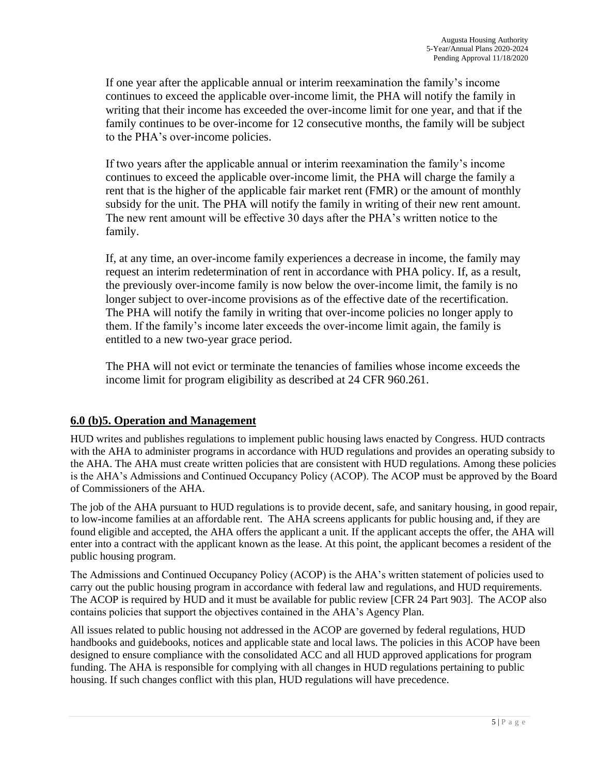If one year after the applicable annual or interim reexamination the family's income continues to exceed the applicable over-income limit, the PHA will notify the family in writing that their income has exceeded the over-income limit for one year, and that if the family continues to be over-income for 12 consecutive months, the family will be subject to the PHA's over-income policies.

If two years after the applicable annual or interim reexamination the family's income continues to exceed the applicable over-income limit, the PHA will charge the family a rent that is the higher of the applicable fair market rent (FMR) or the amount of monthly subsidy for the unit. The PHA will notify the family in writing of their new rent amount. The new rent amount will be effective 30 days after the PHA's written notice to the family.

If, at any time, an over-income family experiences a decrease in income, the family may request an interim redetermination of rent in accordance with PHA policy. If, as a result, the previously over-income family is now below the over-income limit, the family is no longer subject to over-income provisions as of the effective date of the recertification. The PHA will notify the family in writing that over-income policies no longer apply to them. If the family's income later exceeds the over-income limit again, the family is entitled to a new two-year grace period.

The PHA will not evict or terminate the tenancies of families whose income exceeds the income limit for program eligibility as described at 24 CFR 960.261.

## **6.0 (b)5. Operation and Management**

HUD writes and publishes regulations to implement public housing laws enacted by Congress. HUD contracts with the AHA to administer programs in accordance with HUD regulations and provides an operating subsidy to the AHA. The AHA must create written policies that are consistent with HUD regulations. Among these policies is the AHA's Admissions and Continued Occupancy Policy (ACOP). The ACOP must be approved by the Board of Commissioners of the AHA.

The job of the AHA pursuant to HUD regulations is to provide decent, safe, and sanitary housing, in good repair, to low-income families at an affordable rent. The AHA screens applicants for public housing and, if they are found eligible and accepted, the AHA offers the applicant a unit. If the applicant accepts the offer, the AHA will enter into a contract with the applicant known as the lease. At this point, the applicant becomes a resident of the public housing program.

The Admissions and Continued Occupancy Policy (ACOP) is the AHA's written statement of policies used to carry out the public housing program in accordance with federal law and regulations, and HUD requirements. The ACOP is required by HUD and it must be available for public review [CFR 24 Part 903]. The ACOP also contains policies that support the objectives contained in the AHA's Agency Plan.

All issues related to public housing not addressed in the ACOP are governed by federal regulations, HUD handbooks and guidebooks, notices and applicable state and local laws. The policies in this ACOP have been designed to ensure compliance with the consolidated ACC and all HUD approved applications for program funding. The AHA is responsible for complying with all changes in HUD regulations pertaining to public housing. If such changes conflict with this plan, HUD regulations will have precedence.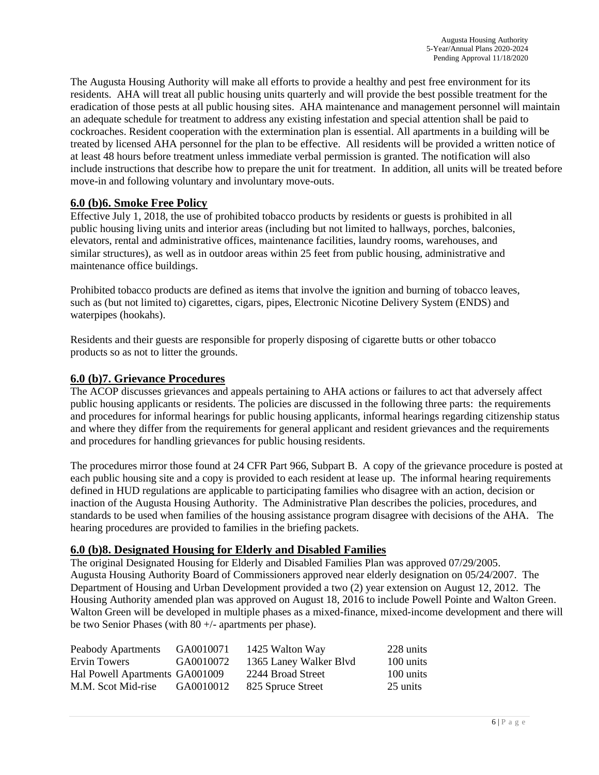The Augusta Housing Authority will make all efforts to provide a healthy and pest free environment for its residents. AHA will treat all public housing units quarterly and will provide the best possible treatment for the eradication of those pests at all public housing sites. AHA maintenance and management personnel will maintain an adequate schedule for treatment to address any existing infestation and special attention shall be paid to cockroaches. Resident cooperation with the extermination plan is essential. All apartments in a building will be treated by licensed AHA personnel for the plan to be effective. All residents will be provided a written notice of at least 48 hours before treatment unless immediate verbal permission is granted. The notification will also include instructions that describe how to prepare the unit for treatment. In addition, all units will be treated before move-in and following voluntary and involuntary move-outs.

### **6.0 (b)6. Smoke Free Policy**

Effective July 1, 2018, the use of prohibited tobacco products by residents or guests is prohibited in all public housing living units and interior areas (including but not limited to hallways, porches, balconies, elevators, rental and administrative offices, maintenance facilities, laundry rooms, warehouses, and similar structures), as well as in outdoor areas within 25 feet from public housing, administrative and maintenance office buildings.

Prohibited tobacco products are defined as items that involve the ignition and burning of tobacco leaves, such as (but not limited to) cigarettes, cigars, pipes, Electronic Nicotine Delivery System (ENDS) and waterpipes (hookahs).

Residents and their guests are responsible for properly disposing of cigarette butts or other tobacco products so as not to litter the grounds.

#### **6.0 (b)7. Grievance Procedures**

The ACOP discusses grievances and appeals pertaining to AHA actions or failures to act that adversely affect public housing applicants or residents. The policies are discussed in the following three parts: the requirements and procedures for informal hearings for public housing applicants, informal hearings regarding citizenship status and where they differ from the requirements for general applicant and resident grievances and the requirements and procedures for handling grievances for public housing residents.

The procedures mirror those found at 24 CFR Part 966, Subpart B. A copy of the grievance procedure is posted at each public housing site and a copy is provided to each resident at lease up. The informal hearing requirements defined in HUD regulations are applicable to participating families who disagree with an action, decision or inaction of the Augusta Housing Authority. The Administrative Plan describes the policies, procedures, and standards to be used when families of the housing assistance program disagree with decisions of the AHA. The hearing procedures are provided to families in the briefing packets.

### **6.0 (b)8. Designated Housing for Elderly and Disabled Families**

The original Designated Housing for Elderly and Disabled Families Plan was approved 07/29/2005. Augusta Housing Authority Board of Commissioners approved near elderly designation on 05/24/2007. The Department of Housing and Urban Development provided a two (2) year extension on August 12, 2012. The Housing Authority amended plan was approved on August 18, 2016 to include Powell Pointe and Walton Green. Walton Green will be developed in multiple phases as a mixed-finance, mixed-income development and there will be two Senior Phases (with 80 +/- apartments per phase).

| Peabody Apartments             | GA0010071 | 1425 Walton Way        | 228 units |
|--------------------------------|-----------|------------------------|-----------|
| Ervin Towers                   | GA0010072 | 1365 Laney Walker Blvd | 100 units |
| Hal Powell Apartments GA001009 |           | 2244 Broad Street      | 100 units |
| M.M. Scot Mid-rise             | GA0010012 | 825 Spruce Street      | 25 units  |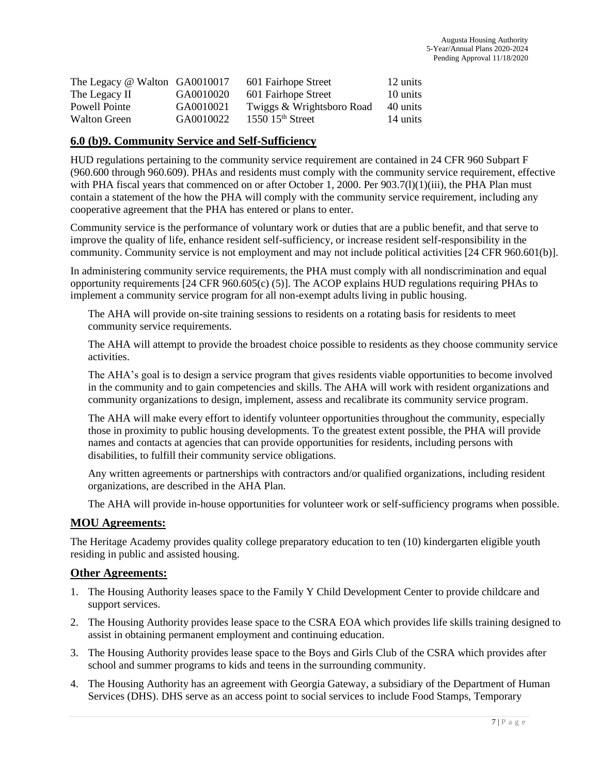| The Legacy @ Walton GA0010017 |           | 601 Fairhope Street       | 12 units |
|-------------------------------|-----------|---------------------------|----------|
| The Legacy II                 | GA0010020 | 601 Fairhope Street       | 10 units |
| Powell Pointe                 | GA0010021 | Twiggs & Wrightsboro Road | 40 units |
| <b>Walton Green</b>           | GA0010022 | $1550$ $15th$ Street      | 14 units |

### **6.0 (b)9. Community Service and Self-Sufficiency**

HUD regulations pertaining to the community service requirement are contained in 24 CFR 960 Subpart F (960.600 through 960.609). PHAs and residents must comply with the community service requirement, effective with PHA fiscal years that commenced on or after October 1, 2000. Per 903.7(1)(1)(iii), the PHA Plan must contain a statement of the how the PHA will comply with the community service requirement, including any cooperative agreement that the PHA has entered or plans to enter.

Community service is the performance of voluntary work or duties that are a public benefit, and that serve to improve the quality of life, enhance resident self-sufficiency, or increase resident self-responsibility in the community. Community service is not employment and may not include political activities [24 CFR 960.601(b)].

In administering community service requirements, the PHA must comply with all nondiscrimination and equal opportunity requirements [24 CFR 960.605(c) (5)]. The ACOP explains HUD regulations requiring PHAs to implement a community service program for all non-exempt adults living in public housing.

The AHA will provide on-site training sessions to residents on a rotating basis for residents to meet community service requirements.

The AHA will attempt to provide the broadest choice possible to residents as they choose community service activities.

The AHA's goal is to design a service program that gives residents viable opportunities to become involved in the community and to gain competencies and skills. The AHA will work with resident organizations and community organizations to design, implement, assess and recalibrate its community service program.

The AHA will make every effort to identify volunteer opportunities throughout the community, especially those in proximity to public housing developments. To the greatest extent possible, the PHA will provide names and contacts at agencies that can provide opportunities for residents, including persons with disabilities, to fulfill their community service obligations.

Any written agreements or partnerships with contractors and/or qualified organizations, including resident organizations, are described in the AHA Plan.

The AHA will provide in-house opportunities for volunteer work or self-sufficiency programs when possible.

#### **MOU Agreements:**

The Heritage Academy provides quality college preparatory education to ten (10) kindergarten eligible youth residing in public and assisted housing.

#### **Other Agreements:**

- 1. The Housing Authority leases space to the Family Y Child Development Center to provide childcare and support services.
- 2. The Housing Authority provides lease space to the CSRA EOA which provides life skills training designed to assist in obtaining permanent employment and continuing education.
- 3. The Housing Authority provides lease space to the Boys and Girls Club of the CSRA which provides after school and summer programs to kids and teens in the surrounding community.
- 4. The Housing Authority has an agreement with Georgia Gateway, a subsidiary of the Department of Human Services (DHS). DHS serve as an access point to social services to include Food Stamps, Temporary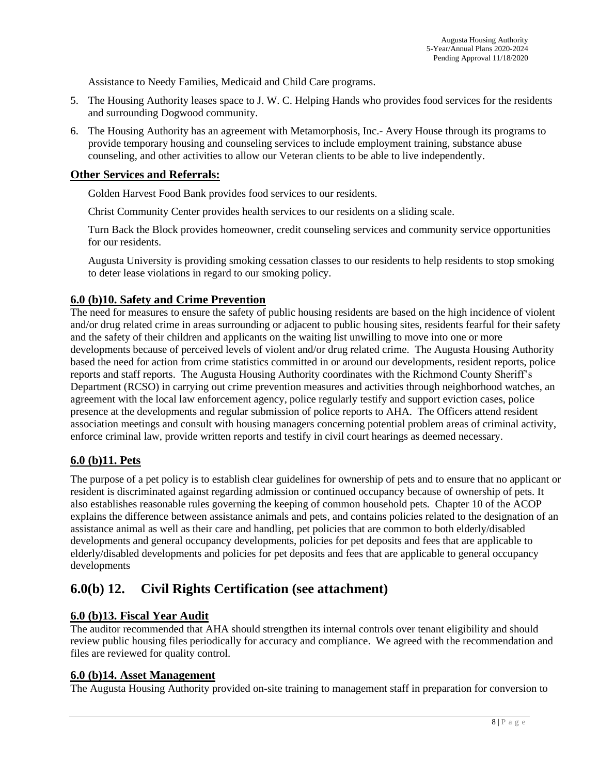Assistance to Needy Families, Medicaid and Child Care programs.

- 5. The Housing Authority leases space to J. W. C. Helping Hands who provides food services for the residents and surrounding Dogwood community.
- 6. The Housing Authority has an agreement with Metamorphosis, Inc.- Avery House through its programs to provide temporary housing and counseling services to include employment training, substance abuse counseling, and other activities to allow our Veteran clients to be able to live independently.

### **Other Services and Referrals:**

Golden Harvest Food Bank provides food services to our residents.

Christ Community Center provides health services to our residents on a sliding scale.

Turn Back the Block provides homeowner, credit counseling services and community service opportunities for our residents.

Augusta University is providing smoking cessation classes to our residents to help residents to stop smoking to deter lease violations in regard to our smoking policy.

### **6.0 (b)10. Safety and Crime Prevention**

The need for measures to ensure the safety of public housing residents are based on the high incidence of violent and/or drug related crime in areas surrounding or adjacent to public housing sites, residents fearful for their safety and the safety of their children and applicants on the waiting list unwilling to move into one or more developments because of perceived levels of violent and/or drug related crime. The Augusta Housing Authority based the need for action from crime statistics committed in or around our developments, resident reports, police reports and staff reports. The Augusta Housing Authority coordinates with the Richmond County Sheriff's Department (RCSO) in carrying out crime prevention measures and activities through neighborhood watches, an agreement with the local law enforcement agency, police regularly testify and support eviction cases, police presence at the developments and regular submission of police reports to AHA. The Officers attend resident association meetings and consult with housing managers concerning potential problem areas of criminal activity, enforce criminal law, provide written reports and testify in civil court hearings as deemed necessary.

### **6.0 (b)11. Pets**

The purpose of a pet policy is to establish clear guidelines for ownership of pets and to ensure that no applicant or resident is discriminated against regarding admission or continued occupancy because of ownership of pets. It also establishes reasonable rules governing the keeping of common household pets. Chapter 10 of the ACOP explains the difference between assistance animals and pets, and contains policies related to the designation of an assistance animal as well as their care and handling, pet policies that are common to both elderly/disabled developments and general occupancy developments, policies for pet deposits and fees that are applicable to elderly/disabled developments and policies for pet deposits and fees that are applicable to general occupancy developments

## **6.0(b) 12. Civil Rights Certification (see attachment)**

#### **6.0 (b)13. Fiscal Year Audit**

The auditor recommended that AHA should strengthen its internal controls over tenant eligibility and should review public housing files periodically for accuracy and compliance. We agreed with the recommendation and files are reviewed for quality control.

#### **6.0 (b)14. Asset Management**

The Augusta Housing Authority provided on-site training to management staff in preparation for conversion to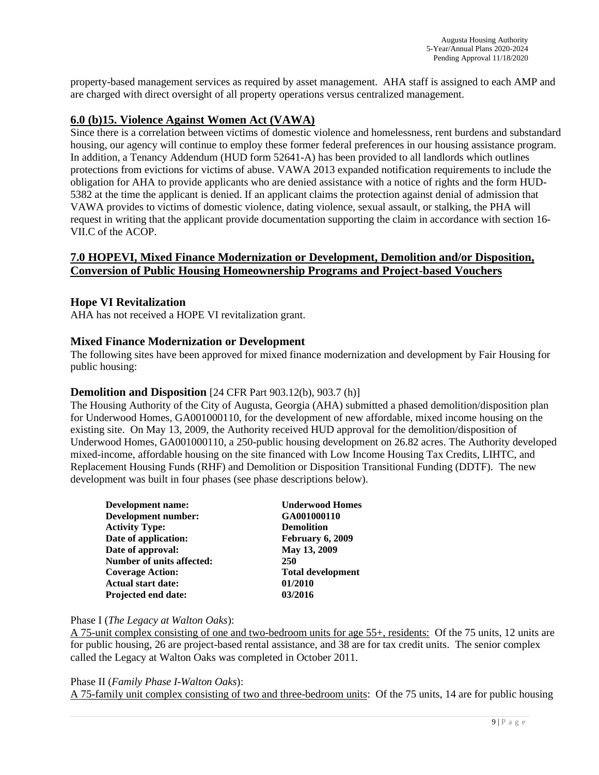property-based management services as required by asset management. AHA staff is assigned to each AMP and are charged with direct oversight of all property operations versus centralized management.

### **6.0 (b)15. Violence Against Women Act (VAWA)**

Since there is a correlation between victims of domestic violence and homelessness, rent burdens and substandard housing, our agency will continue to employ these former federal preferences in our housing assistance program. In addition, a Tenancy Addendum (HUD form 52641-A) has been provided to all landlords which outlines protections from evictions for victims of abuse. VAWA 2013 expanded notification requirements to include the obligation for AHA to provide applicants who are denied assistance with a notice of rights and the form HUD-5382 at the time the applicant is denied. If an applicant claims the protection against denial of admission that VAWA provides to victims of domestic violence, dating violence, sexual assault, or stalking, the PHA will request in writing that the applicant provide documentation supporting the claim in accordance with section 16- VII.C of the ACOP.

### **7.0 HOPEVI, Mixed Finance Modernization or Development, Demolition and/or Disposition, Conversion of Public Housing Homeownership Programs and Project-based Vouchers**

#### **Hope VI Revitalization**

AHA has not received a HOPE VI revitalization grant.

#### **Mixed Finance Modernization or Development**

The following sites have been approved for mixed finance modernization and development by Fair Housing for public housing:

#### **Demolition and Disposition** [24 CFR Part 903.12(b), 903.7 (h)]

The Housing Authority of the City of Augusta, Georgia (AHA) submitted a phased demolition/disposition plan for Underwood Homes, GA001000110, for the development of new affordable, mixed income housing on the existing site. On May 13, 2009, the Authority received HUD approval for the demolition/disposition of Underwood Homes, GA001000110, a 250-public housing development on 26.82 acres. The Authority developed mixed-income, affordable housing on the site financed with Low Income Housing Tax Credits, LIHTC, and Replacement Housing Funds (RHF) and Demolition or Disposition Transitional Funding (DDTF). The new development was built in four phases (see phase descriptions below).

| Development name:          | <b>Underwood Homes</b>   |
|----------------------------|--------------------------|
| Development number:        | GA001000110              |
| <b>Activity Type:</b>      | <b>Demolition</b>        |
| Date of application:       | February 6, 2009         |
| Date of approval:          | May 13, 2009             |
| Number of units affected:  | 250                      |
| <b>Coverage Action:</b>    | <b>Total development</b> |
| <b>Actual start date:</b>  | 01/2010                  |
| <b>Projected end date:</b> | 03/2016                  |
|                            |                          |

#### Phase I (*The Legacy at Walton Oaks*):

A 75-unit complex consisting of one and two-bedroom units for age 55+, residents: Of the 75 units, 12 units are for public housing, 26 are project-based rental assistance, and 38 are for tax credit units. The senior complex called the Legacy at Walton Oaks was completed in October 2011.

Phase II (*Family Phase I-Walton Oaks*):

A 75-family unit complex consisting of two and three-bedroom units: Of the 75 units, 14 are for public housing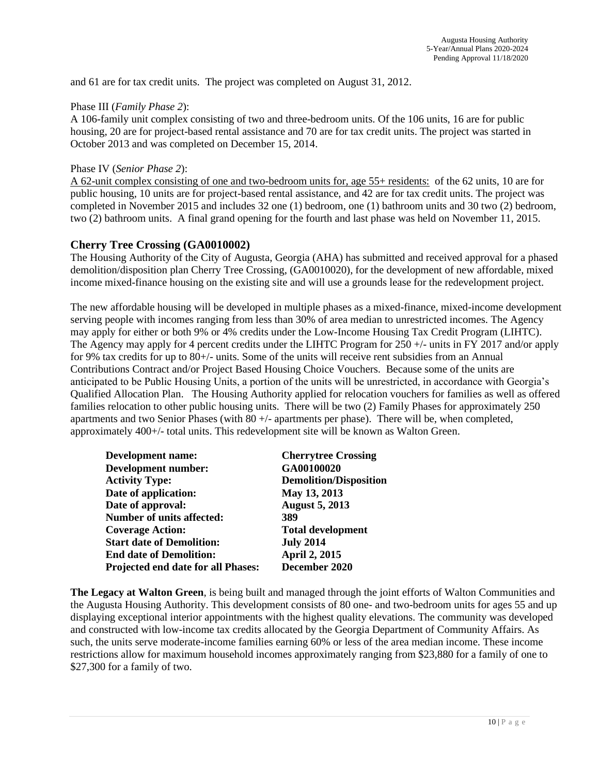and 61 are for tax credit units. The project was completed on August 31, 2012.

#### Phase III (*Family Phase 2*):

A 106-family unit complex consisting of two and three-bedroom units. Of the 106 units, 16 are for public housing, 20 are for project-based rental assistance and 70 are for tax credit units. The project was started in October 2013 and was completed on December 15, 2014.

#### Phase IV (*Senior Phase 2*):

A 62-unit complex consisting of one and two-bedroom units for, age 55+ residents: of the 62 units, 10 are for public housing, 10 units are for project-based rental assistance, and 42 are for tax credit units. The project was completed in November 2015 and includes 32 one (1) bedroom, one (1) bathroom units and 30 two (2) bedroom, two (2) bathroom units. A final grand opening for the fourth and last phase was held on November 11, 2015.

### **Cherry Tree Crossing (GA0010002)**

The Housing Authority of the City of Augusta, Georgia (AHA) has submitted and received approval for a phased demolition/disposition plan Cherry Tree Crossing, (GA0010020), for the development of new affordable, mixed income mixed-finance housing on the existing site and will use a grounds lease for the redevelopment project.

The new affordable housing will be developed in multiple phases as a mixed-finance, mixed-income development serving people with incomes ranging from less than 30% of area median to unrestricted incomes. The Agency may apply for either or both 9% or 4% credits under the Low-Income Housing Tax Credit Program (LIHTC). The Agency may apply for 4 percent credits under the LIHTC Program for 250 +/- units in FY 2017 and/or apply for 9% tax credits for up to 80+/- units. Some of the units will receive rent subsidies from an Annual Contributions Contract and/or Project Based Housing Choice Vouchers. Because some of the units are anticipated to be Public Housing Units, a portion of the units will be unrestricted, in accordance with Georgia's Qualified Allocation Plan. The Housing Authority applied for relocation vouchers for families as well as offered families relocation to other public housing units. There will be two (2) Family Phases for approximately 250 apartments and two Senior Phases (with  $80 +/-$  apartments per phase). There will be, when completed, approximately 400+/- total units. This redevelopment site will be known as Walton Green.

| <b>Cherrytree Crossing</b>    |
|-------------------------------|
| GA00100020                    |
| <b>Demolition/Disposition</b> |
| May 13, 2013                  |
| <b>August 5, 2013</b>         |
| 389                           |
| <b>Total development</b>      |
| <b>July 2014</b>              |
| <b>April 2, 2015</b>          |
| December 2020                 |
|                               |

**The Legacy at Walton Green**, is being built and managed through the joint efforts of Walton Communities and the Augusta Housing Authority. This development consists of 80 one- and two-bedroom units for ages 55 and up displaying exceptional interior appointments with the highest quality elevations. The community was developed and constructed with low-income tax credits allocated by the Georgia Department of Community Affairs. As such, the units serve moderate-income families earning 60% or less of the area median income. These income restrictions allow for maximum household incomes approximately ranging from \$23,880 for a family of one to \$27,300 for a family of two.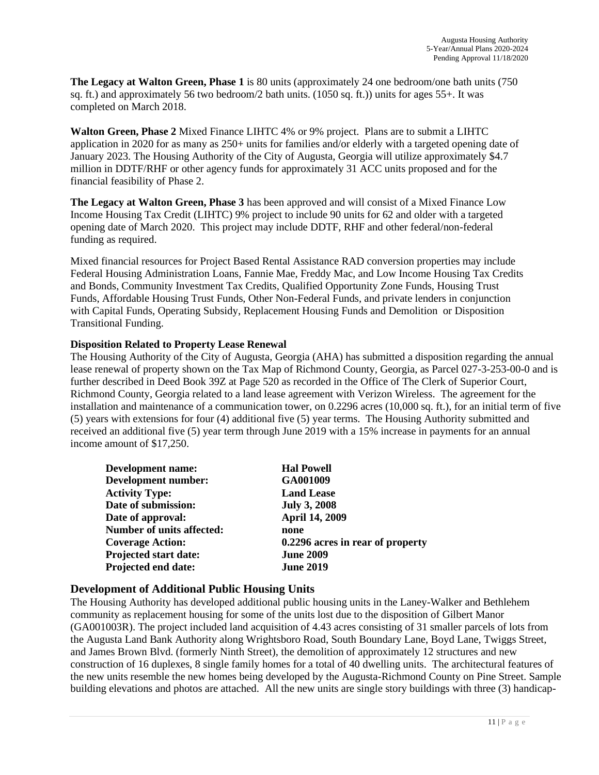**The Legacy at Walton Green, Phase 1** is 80 units (approximately 24 one bedroom/one bath units (750 sq. ft.) and approximately 56 two bedroom/2 bath units. (1050 sq. ft.)) units for ages  $55+$ . It was completed on March 2018.

**Walton Green, Phase 2** Mixed Finance LIHTC 4% or 9% project. Plans are to submit a LIHTC application in 2020 for as many as 250+ units for families and/or elderly with a targeted opening date of January 2023. The Housing Authority of the City of Augusta, Georgia will utilize approximately \$4.7 million in DDTF/RHF or other agency funds for approximately 31 ACC units proposed and for the financial feasibility of Phase 2.

**The Legacy at Walton Green, Phase 3** has been approved and will consist of a Mixed Finance Low Income Housing Tax Credit (LIHTC) 9% project to include 90 units for 62 and older with a targeted opening date of March 2020. This project may include DDTF, RHF and other federal/non-federal funding as required.

Mixed financial resources for Project Based Rental Assistance RAD conversion properties may include Federal Housing Administration Loans, Fannie Mae, Freddy Mac, and Low Income Housing Tax Credits and Bonds, Community Investment Tax Credits, Qualified Opportunity Zone Funds, Housing Trust Funds, Affordable Housing Trust Funds, Other Non-Federal Funds, and private lenders in conjunction with Capital Funds, Operating Subsidy, Replacement Housing Funds and Demolition or Disposition Transitional Funding.

#### **Disposition Related to Property Lease Renewal**

The Housing Authority of the City of Augusta, Georgia (AHA) has submitted a disposition regarding the annual lease renewal of property shown on the Tax Map of Richmond County, Georgia, as Parcel 027-3-253-00-0 and is further described in Deed Book 39Z at Page 520 as recorded in the Office of The Clerk of Superior Court, Richmond County, Georgia related to a land lease agreement with Verizon Wireless. The agreement for the installation and maintenance of a communication tower, on 0.2296 acres (10,000 sq. ft.), for an initial term of five (5) years with extensions for four (4) additional five (5) year terms. The Housing Authority submitted and received an additional five (5) year term through June 2019 with a 15% increase in payments for an annual income amount of \$17,250.

| <b>Hal Powell</b>                |
|----------------------------------|
| GA001009                         |
| <b>Land Lease</b>                |
| <b>July 3, 2008</b>              |
| <b>April 14, 2009</b>            |
| none                             |
| 0.2296 acres in rear of property |
| <b>June 2009</b>                 |
| <b>June 2019</b>                 |
|                                  |

### **Development of Additional Public Housing Units**

The Housing Authority has developed additional public housing units in the Laney-Walker and Bethlehem community as replacement housing for some of the units lost due to the disposition of Gilbert Manor (GA001003R). The project included land acquisition of 4.43 acres consisting of 31 smaller parcels of lots from the Augusta Land Bank Authority along Wrightsboro Road, South Boundary Lane, Boyd Lane, Twiggs Street, and James Brown Blvd. (formerly Ninth Street), the demolition of approximately 12 structures and new construction of 16 duplexes, 8 single family homes for a total of 40 dwelling units. The architectural features of the new units resemble the new homes being developed by the Augusta-Richmond County on Pine Street. Sample building elevations and photos are attached. All the new units are single story buildings with three (3) handicap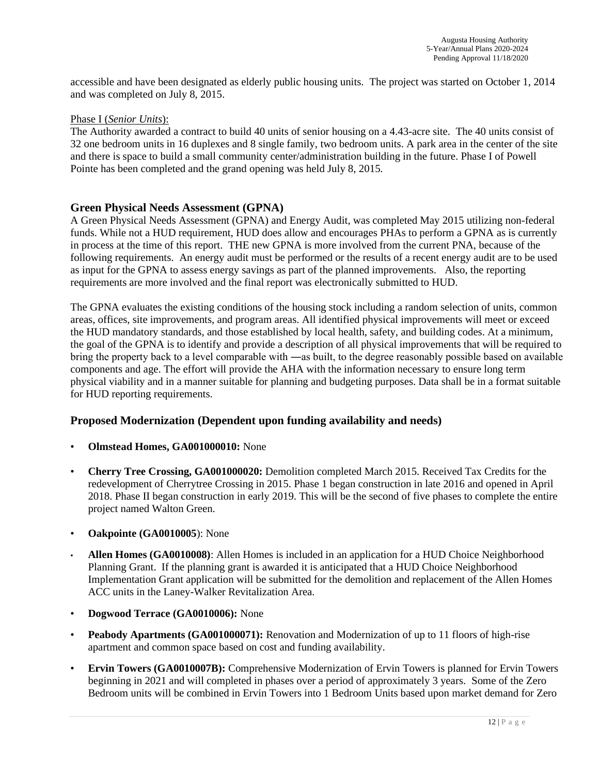accessible and have been designated as elderly public housing units. The project was started on October 1, 2014 and was completed on July 8, 2015.

#### Phase I (*Senior Units*):

The Authority awarded a contract to build 40 units of senior housing on a 4.43-acre site. The 40 units consist of 32 one bedroom units in 16 duplexes and 8 single family, two bedroom units. A park area in the center of the site and there is space to build a small community center/administration building in the future. Phase I of Powell Pointe has been completed and the grand opening was held July 8, 2015.

#### **Green Physical Needs Assessment (GPNA)**

A Green Physical Needs Assessment (GPNA) and Energy Audit, was completed May 2015 utilizing non-federal funds. While not a HUD requirement, HUD does allow and encourages PHAs to perform a GPNA as is currently in process at the time of this report. THE new GPNA is more involved from the current PNA, because of the following requirements. An energy audit must be performed or the results of a recent energy audit are to be used as input for the GPNA to assess energy savings as part of the planned improvements. Also, the reporting requirements are more involved and the final report was electronically submitted to HUD.

The GPNA evaluates the existing conditions of the housing stock including a random selection of units, common areas, offices, site improvements, and program areas. All identified physical improvements will meet or exceed the HUD mandatory standards, and those established by local health, safety, and building codes. At a minimum, the goal of the GPNA is to identify and provide a description of all physical improvements that will be required to bring the property back to a level comparable with ―as built, to the degree reasonably possible based on available components and age. The effort will provide the AHA with the information necessary to ensure long term physical viability and in a manner suitable for planning and budgeting purposes. Data shall be in a format suitable for HUD reporting requirements.

### **Proposed Modernization (Dependent upon funding availability and needs)**

- **Olmstead Homes, GA001000010:** None
- **Cherry Tree Crossing, GA001000020:** Demolition completed March 2015. Received Tax Credits for the redevelopment of Cherrytree Crossing in 2015. Phase 1 began construction in late 2016 and opened in April 2018. Phase II began construction in early 2019. This will be the second of five phases to complete the entire project named Walton Green.
- **Oakpointe (GA0010005**): None
- **Allen Homes (GA0010008)**: Allen Homes is included in an application for a HUD Choice Neighborhood Planning Grant. If the planning grant is awarded it is anticipated that a HUD Choice Neighborhood Implementation Grant application will be submitted for the demolition and replacement of the Allen Homes ACC units in the Laney-Walker Revitalization Area.
- **Dogwood Terrace (GA0010006):** None
- **Peabody Apartments (GA001000071):** Renovation and Modernization of up to 11 floors of high-rise apartment and common space based on cost and funding availability.
- **Ervin Towers (GA0010007B):** Comprehensive Modernization of Ervin Towers is planned for Ervin Towers beginning in 2021 and will completed in phases over a period of approximately 3 years. Some of the Zero Bedroom units will be combined in Ervin Towers into 1 Bedroom Units based upon market demand for Zero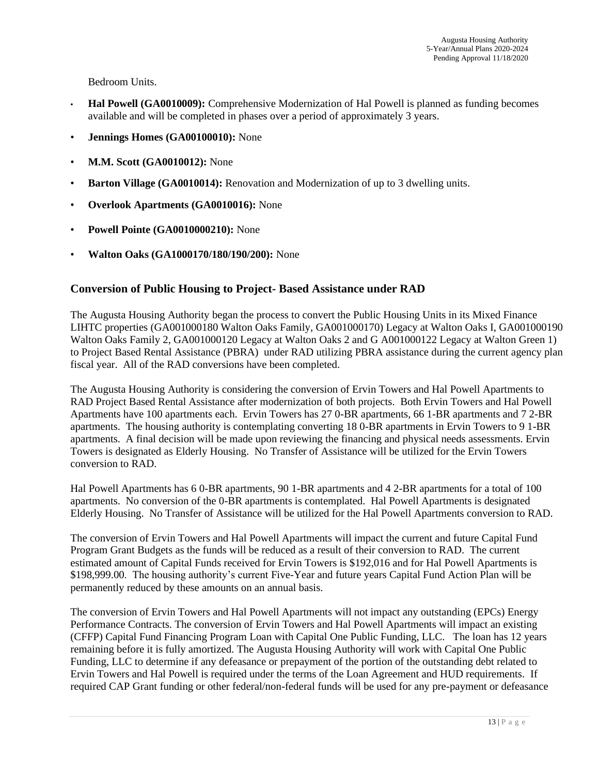Bedroom Units.

- **Hal Powell (GA0010009):** Comprehensive Modernization of Hal Powell is planned as funding becomes available and will be completed in phases over a period of approximately 3 years.
- **Jennings Homes (GA00100010):** None
- **M.M. Scott (GA0010012):** None
- **Barton Village (GA0010014):** Renovation and Modernization of up to 3 dwelling units.
- **Overlook Apartments (GA0010016):** None
- **Powell Pointe (GA0010000210):** None
- **Walton Oaks (GA1000170/180/190/200):** None

### **Conversion of Public Housing to Project- Based Assistance under RAD**

The Augusta Housing Authority began the process to convert the Public Housing Units in its Mixed Finance LIHTC properties (GA001000180 Walton Oaks Family, GA001000170) Legacy at Walton Oaks I, GA001000190 Walton Oaks Family 2, GA001000120 Legacy at Walton Oaks 2 and G A001000122 Legacy at Walton Green 1) to Project Based Rental Assistance (PBRA) under RAD utilizing PBRA assistance during the current agency plan fiscal year. All of the RAD conversions have been completed.

The Augusta Housing Authority is considering the conversion of Ervin Towers and Hal Powell Apartments to RAD Project Based Rental Assistance after modernization of both projects. Both Ervin Towers and Hal Powell Apartments have 100 apartments each. Ervin Towers has 27 0-BR apartments, 66 1-BR apartments and 7 2-BR apartments. The housing authority is contemplating converting 18 0-BR apartments in Ervin Towers to 9 1-BR apartments. A final decision will be made upon reviewing the financing and physical needs assessments. Ervin Towers is designated as Elderly Housing. No Transfer of Assistance will be utilized for the Ervin Towers conversion to RAD.

Hal Powell Apartments has 6 0-BR apartments, 90 1-BR apartments and 4 2-BR apartments for a total of 100 apartments. No conversion of the 0-BR apartments is contemplated. Hal Powell Apartments is designated Elderly Housing. No Transfer of Assistance will be utilized for the Hal Powell Apartments conversion to RAD.

The conversion of Ervin Towers and Hal Powell Apartments will impact the current and future Capital Fund Program Grant Budgets as the funds will be reduced as a result of their conversion to RAD. The current estimated amount of Capital Funds received for Ervin Towers is \$192,016 and for Hal Powell Apartments is \$198,999.00. The housing authority's current Five-Year and future years Capital Fund Action Plan will be permanently reduced by these amounts on an annual basis.

The conversion of Ervin Towers and Hal Powell Apartments will not impact any outstanding (EPCs) Energy Performance Contracts. The conversion of Ervin Towers and Hal Powell Apartments will impact an existing (CFFP) Capital Fund Financing Program Loan with Capital One Public Funding, LLC. The loan has 12 years remaining before it is fully amortized. The Augusta Housing Authority will work with Capital One Public Funding, LLC to determine if any defeasance or prepayment of the portion of the outstanding debt related to Ervin Towers and Hal Powell is required under the terms of the Loan Agreement and HUD requirements. If required CAP Grant funding or other federal/non-federal funds will be used for any pre-payment or defeasance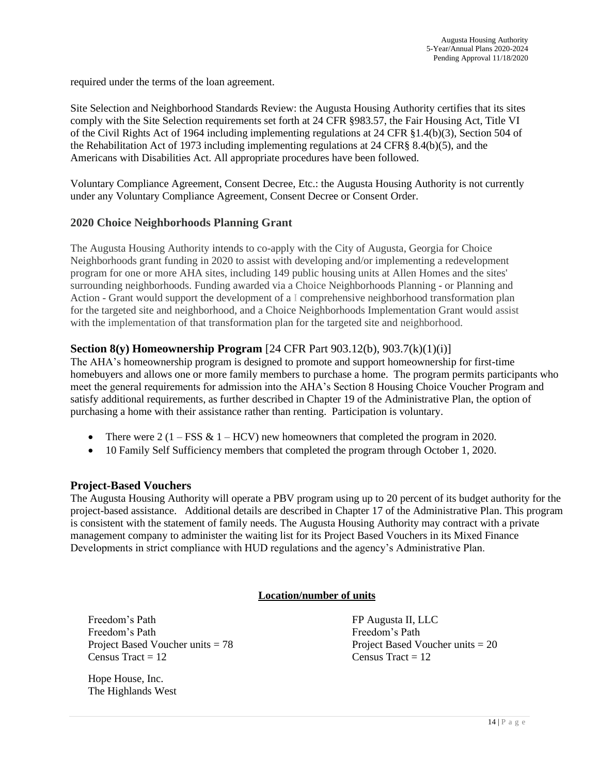required under the terms of the loan agreement.

Site Selection and Neighborhood Standards Review: the Augusta Housing Authority certifies that its sites comply with the Site Selection requirements set forth at 24 CFR §983.57, the Fair Housing Act, Title VI of the Civil Rights Act of 1964 including implementing regulations at 24 CFR §1.4(b)(3), Section 504 of the Rehabilitation Act of 1973 including implementing regulations at 24 CFR§ 8.4(b)(5), and the Americans with Disabilities Act. All appropriate procedures have been followed.

Voluntary Compliance Agreement, Consent Decree, Etc.: the Augusta Housing Authority is not currently under any Voluntary Compliance Agreement, Consent Decree or Consent Order.

### **2020 Choice Neighborhoods Planning Grant**

The Augusta Housing Authority intends to co-apply with the City of Augusta, Georgia for Choice Neighborhoods grant funding in 2020 to assist with developing and/or implementing a redevelopment program for one or more AHA sites, including 149 public housing units at Allen Homes and the sites' surrounding neighborhoods. Funding awarded via a Choice Neighborhoods Planning - or Planning and Action - Grant would support the development of a I comprehensive neighborhood transformation plan for the targeted site and neighborhood, and a Choice Neighborhoods Implementation Grant would assist with the implementation of that transformation plan for the targeted site and neighborhood.

### **Section 8(y) Homeownership Program** [24 CFR Part 903.12(b), 903.7(k)(1)(i)]

The AHA's homeownership program is designed to promote and support homeownership for first-time homebuyers and allows one or more family members to purchase a home. The program permits participants who meet the general requirements for admission into the AHA's Section 8 Housing Choice Voucher Program and satisfy additional requirements, as further described in Chapter 19 of the Administrative Plan, the option of purchasing a home with their assistance rather than renting. Participation is voluntary.

- There were  $2(1 FSS \& 1 HCV)$  new homeowners that completed the program in 2020.
- 10 Family Self Sufficiency members that completed the program through October 1, 2020.

### **Project-Based Vouchers**

The Augusta Housing Authority will operate a PBV program using up to 20 percent of its budget authority for the project-based assistance. Additional details are described in Chapter 17 of the Administrative Plan. This program is consistent with the statement of family needs. The Augusta Housing Authority may contract with a private management company to administer the waiting list for its Project Based Vouchers in its Mixed Finance Developments in strict compliance with HUD regulations and the agency's Administrative Plan.

### **Location/number of units**

Freedom's Path FP Augusta II, LLC Freedom's Path Freedom's Path  $Census Tract = 12$   $Census Tract = 12$ 

Hope House, Inc. The Highlands West

Project Based Voucher units = 78 Project Based Voucher units = 20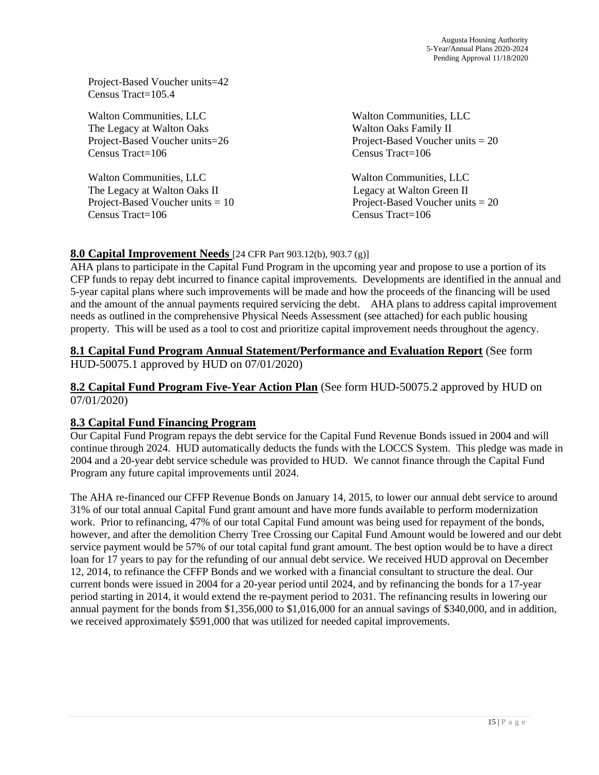Project-Based Voucher units=42 Census Tract=105.4

Walton Communities, LLC Walton Communities, LLC The Legacy at Walton Oaks The Legacy at Walton Oaks Family II Census Tract=106 Census Tract=106

Walton Communities, LLC Walton Communities, LLC The Legacy at Walton Oaks II Legacy at Walton Green II Census Tract=106 Census Tract=106

Project-Based Voucher units=26 Project-Based Voucher units = 20

Project-Based Voucher units = 10 Project-Based Voucher units = 20

### **8.0 Capital Improvement Needs** [24 CFR Part 903.12(b), 903.7 (g)]

AHA plans to participate in the Capital Fund Program in the upcoming year and propose to use a portion of its CFP funds to repay debt incurred to finance capital improvements. Developments are identified in the annual and 5-year capital plans where such improvements will be made and how the proceeds of the financing will be used and the amount of the annual payments required servicing the debt. AHA plans to address capital improvement needs as outlined in the comprehensive Physical Needs Assessment (see attached) for each public housing property. This will be used as a tool to cost and prioritize capital improvement needs throughout the agency.

### **8.1 Capital Fund Program Annual Statement/Performance and Evaluation Report** (See form HUD-50075.1 approved by HUD on 07/01/2020)

### **8.2 Capital Fund Program Five-Year Action Plan** (See form HUD-50075.2 approved by HUD on 07/01/2020)

## **8.3 Capital Fund Financing Program**

Our Capital Fund Program repays the debt service for the Capital Fund Revenue Bonds issued in 2004 and will continue through 2024. HUD automatically deducts the funds with the LOCCS System. This pledge was made in 2004 and a 20-year debt service schedule was provided to HUD. We cannot finance through the Capital Fund Program any future capital improvements until 2024.

The AHA re-financed our CFFP Revenue Bonds on January 14, 2015, to lower our annual debt service to around 31% of our total annual Capital Fund grant amount and have more funds available to perform modernization work. Prior to refinancing, 47% of our total Capital Fund amount was being used for repayment of the bonds, however, and after the demolition Cherry Tree Crossing our Capital Fund Amount would be lowered and our debt service payment would be 57% of our total capital fund grant amount. The best option would be to have a direct loan for 17 years to pay for the refunding of our annual debt service. We received HUD approval on December 12, 2014, to refinance the CFFP Bonds and we worked with a financial consultant to structure the deal. Our current bonds were issued in 2004 for a 20-year period until 2024, and by refinancing the bonds for a 17-year period starting in 2014, it would extend the re-payment period to 2031. The refinancing results in lowering our annual payment for the bonds from \$1,356,000 to \$1,016,000 for an annual savings of \$340,000, and in addition, we received approximately \$591,000 that was utilized for needed capital improvements.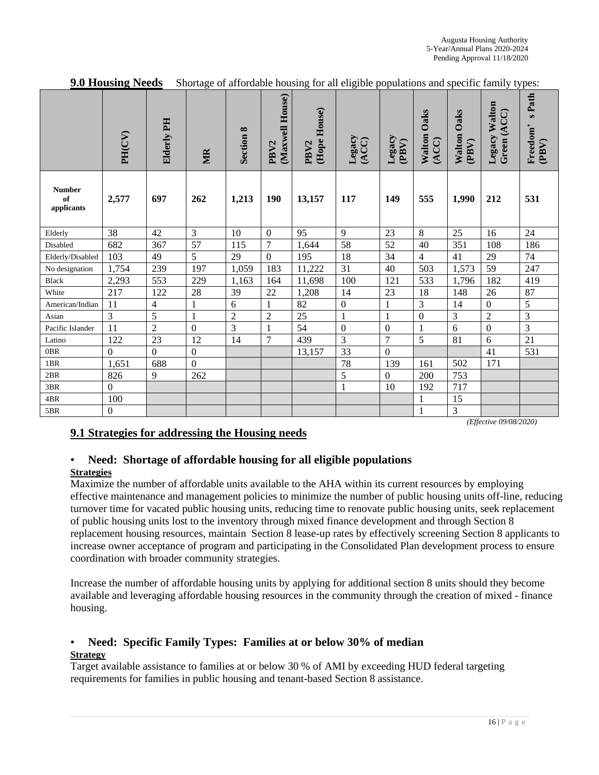|                                   |                  |                | $\sigma$         |                |                                     | 0                                | 0                |                 |                         |                             |                              |                                                    |
|-----------------------------------|------------------|----------------|------------------|----------------|-------------------------------------|----------------------------------|------------------|-----------------|-------------------------|-----------------------------|------------------------------|----------------------------------------------------|
|                                   | PH(CV)           | Elderly PH     | MR               | Section 8      | (Maxwell House)<br>PBV <sub>2</sub> | (Hope House)<br>PBV <sub>2</sub> | Legacy<br>(ACC)  | Legacy<br>(PBV) | Oaks<br>Walton<br>(ACC) | <b>Walton Oaks</b><br>(PBV) | Legacy Walton<br>Green (ACC) | Path<br>$\boldsymbol{\omega}$<br>Freedom'<br>(PBV) |
| <b>Number</b><br>of<br>applicants | 2,577            | 697            | 262              | 1,213          | 190                                 | 13,157                           | 117              | 149             | 555                     | 1,990                       | 212                          | 531                                                |
| Elderly                           | 38               | 42             | 3                | 10             | $\boldsymbol{0}$                    | 95                               | 9                | 23              | 8                       | 25                          | 16                           | 24                                                 |
| Disabled                          | 682              | 367            | 57               | 115            | $\overline{7}$                      | 1,644                            | 58               | 52              | 40                      | 351                         | 108                          | 186                                                |
| Elderly/Disabled                  | 103              | 49             | 5                | 29             | $\Omega$                            | 195                              | 18               | 34              | $\overline{4}$          | 41                          | 29                           | 74                                                 |
| No designation                    | 1,754            | 239            | 197              | 1,059          | 183                                 | 11,222                           | 31               | 40              | 503                     | 1,573                       | 59                           | 247                                                |
| <b>Black</b>                      | 2,293            | 553            | 229              | 1,163          | 164                                 | 11,698                           | 100              | 121             | 533                     | 1,796                       | 182                          | 419                                                |
| White                             | 217              | 122            | 28               | 39             | 22                                  | 1,208                            | 14               | 23              | 18                      | 148                         | 26                           | 87                                                 |
| American/Indian                   | 11               | 4              |                  | 6              | $\mathbf{1}$                        | 82                               | $\boldsymbol{0}$ |                 | 3                       | 14                          | $\overline{0}$               | 5                                                  |
| Asian                             | $\overline{3}$   | 5              | $\mathbf{1}$     | $\overline{2}$ | $\overline{2}$                      | 25                               | $\mathbf{1}$     | $\mathbf{1}$    | $\mathbf{0}$            | 3                           | $\overline{2}$               | 3                                                  |
| Pacific Islander                  | 11               | $\overline{2}$ | $\mathbf{0}$     | 3              |                                     | 54                               | $\mathbf{0}$     | $\mathbf{0}$    | $\mathbf{1}$            | 6                           | $\overline{0}$               | $\overline{3}$                                     |
| Latino                            | 122              | 23             | 12               | 14             | $\overline{7}$                      | 439                              | 3                | $\overline{7}$  | 5                       | 81                          | 6                            | 21                                                 |
| 0BR                               | $\boldsymbol{0}$ | $\overline{0}$ | $\boldsymbol{0}$ |                |                                     | 13,157                           | 33               | $\overline{0}$  |                         |                             | 41                           | 531                                                |
| 1BR                               | 1,651            | 688            | $\overline{0}$   |                |                                     |                                  | 78               | 139             | 161                     | 502                         | 171                          |                                                    |
| 2BR                               | 826              | $\overline{9}$ | 262              |                |                                     |                                  | 5                | $\theta$        | 200                     | 753                         |                              |                                                    |
| 3BR                               | $\boldsymbol{0}$ |                |                  |                |                                     |                                  | 1                | 10              | 192                     | 717                         |                              |                                                    |
| 4BR                               | 100              |                |                  |                |                                     |                                  |                  |                 |                         | 15                          |                              |                                                    |
| 5BR                               | $\boldsymbol{0}$ |                |                  |                |                                     |                                  |                  |                 |                         | 3                           |                              |                                                    |

**9.0 Housing Needs** Shortage of affordable housing for all eligible populations and specific family types:

#### *(Effective 09/08/2020)*

## **9.1 Strategies for addressing the Housing needs**

### • **Need: Shortage of affordable housing for all eligible populations Strategies**

Maximize the number of affordable units available to the AHA within its current resources by employing effective maintenance and management policies to minimize the number of public housing units off-line, reducing turnover time for vacated public housing units, reducing time to renovate public housing units, seek replacement of public housing units lost to the inventory through mixed finance development and through Section 8 replacement housing resources, maintain Section 8 lease-up rates by effectively screening Section 8 applicants to increase owner acceptance of program and participating in the Consolidated Plan development process to ensure coordination with broader community strategies.

Increase the number of affordable housing units by applying for additional section 8 units should they become available and leveraging affordable housing resources in the community through the creation of mixed - finance housing.

#### • **Need: Specific Family Types: Families at or below 30% of median Strategy**

Target available assistance to families at or below 30 % of AMI by exceeding HUD federal targeting requirements for families in public housing and tenant-based Section 8 assistance.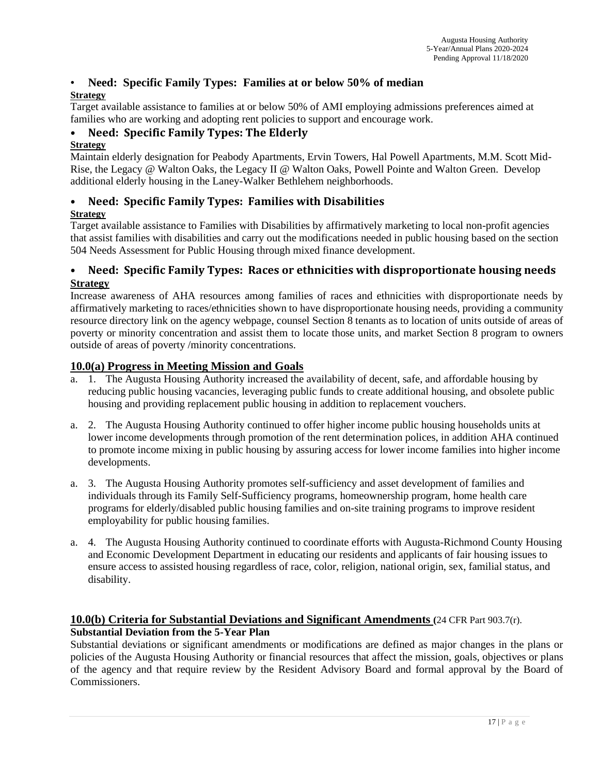### • **Need: Specific Family Types: Families at or below 50% of median Strategy**

Target available assistance to families at or below 50% of AMI employing admissions preferences aimed at families who are working and adopting rent policies to support and encourage work.

### • **Need: Specific Family Types: The Elderly**

### **Strategy**

Maintain elderly designation for Peabody Apartments, Ervin Towers, Hal Powell Apartments, M.M. Scott Mid-Rise, the Legacy @ Walton Oaks, the Legacy II @ Walton Oaks, Powell Pointe and Walton Green. Develop additional elderly housing in the Laney-Walker Bethlehem neighborhoods.

### • **Need: Specific Family Types: Families with Disabilities Strategy**

Target available assistance to Families with Disabilities by affirmatively marketing to local non-profit agencies that assist families with disabilities and carry out the modifications needed in public housing based on the section 504 Needs Assessment for Public Housing through mixed finance development.

### • **Need: Specific Family Types: Races or ethnicities with disproportionate housing needs Strategy**

Increase awareness of AHA resources among families of races and ethnicities with disproportionate needs by affirmatively marketing to races/ethnicities shown to have disproportionate housing needs, providing a community resource directory link on the agency webpage, counsel Section 8 tenants as to location of units outside of areas of poverty or minority concentration and assist them to locate those units, and market Section 8 program to owners outside of areas of poverty /minority concentrations.

### **10.0(a) Progress in Meeting Mission and Goals**

- a. 1. The Augusta Housing Authority increased the availability of decent, safe, and affordable housing by reducing public housing vacancies, leveraging public funds to create additional housing, and obsolete public housing and providing replacement public housing in addition to replacement vouchers.
- a. 2. The Augusta Housing Authority continued to offer higher income public housing households units at lower income developments through promotion of the rent determination polices, in addition AHA continued to promote income mixing in public housing by assuring access for lower income families into higher income developments.
- a. 3. The Augusta Housing Authority promotes self-sufficiency and asset development of families and individuals through its Family Self-Sufficiency programs, homeownership program, home health care programs for elderly/disabled public housing families and on-site training programs to improve resident employability for public housing families.
- a. 4. The Augusta Housing Authority continued to coordinate efforts with Augusta-Richmond County Housing and Economic Development Department in educating our residents and applicants of fair housing issues to ensure access to assisted housing regardless of race, color, religion, national origin, sex, familial status, and disability.

### **10.0(b) Criteria for Substantial Deviations and Significant Amendments (**24 CFR Part 903.7(r). **Substantial Deviation from the 5-Year Plan**

Substantial deviations or significant amendments or modifications are defined as major changes in the plans or policies of the Augusta Housing Authority or financial resources that affect the mission, goals, objectives or plans of the agency and that require review by the Resident Advisory Board and formal approval by the Board of Commissioners.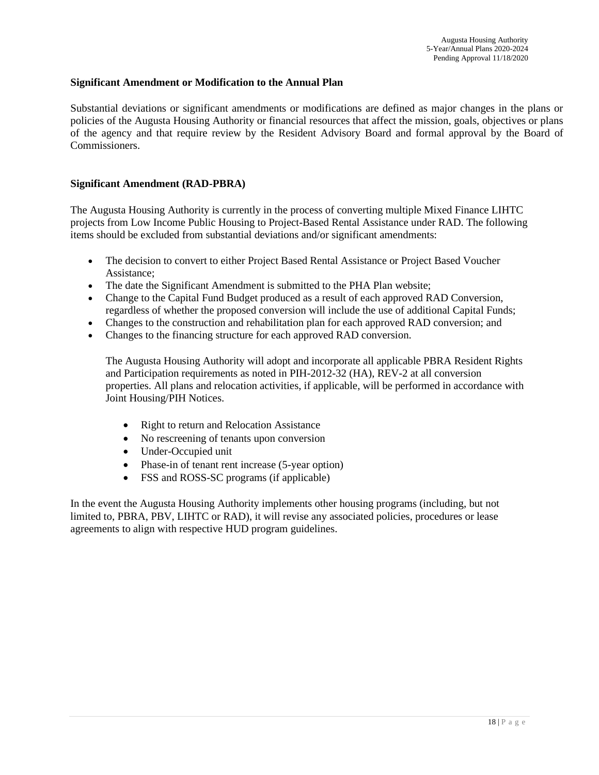#### **Significant Amendment or Modification to the Annual Plan**

Substantial deviations or significant amendments or modifications are defined as major changes in the plans or policies of the Augusta Housing Authority or financial resources that affect the mission, goals, objectives or plans of the agency and that require review by the Resident Advisory Board and formal approval by the Board of Commissioners.

#### **Significant Amendment (RAD-PBRA)**

The Augusta Housing Authority is currently in the process of converting multiple Mixed Finance LIHTC projects from Low Income Public Housing to Project-Based Rental Assistance under RAD. The following items should be excluded from substantial deviations and/or significant amendments:

- The decision to convert to either Project Based Rental Assistance or Project Based Voucher Assistance;
- The date the Significant Amendment is submitted to the PHA Plan website;
- Change to the Capital Fund Budget produced as a result of each approved RAD Conversion, regardless of whether the proposed conversion will include the use of additional Capital Funds;
- Changes to the construction and rehabilitation plan for each approved RAD conversion; and
- Changes to the financing structure for each approved RAD conversion.

The Augusta Housing Authority will adopt and incorporate all applicable PBRA Resident Rights and Participation requirements as noted in PIH-2012-32 (HA), REV-2 at all conversion properties. All plans and relocation activities, if applicable, will be performed in accordance with Joint Housing/PIH Notices.

- Right to return and Relocation Assistance
- No rescreening of tenants upon conversion
- Under-Occupied unit
- Phase-in of tenant rent increase (5-year option)
- FSS and ROSS-SC programs (if applicable)

In the event the Augusta Housing Authority implements other housing programs (including, but not limited to, PBRA, PBV, LIHTC or RAD), it will revise any associated policies, procedures or lease agreements to align with respective HUD program guidelines.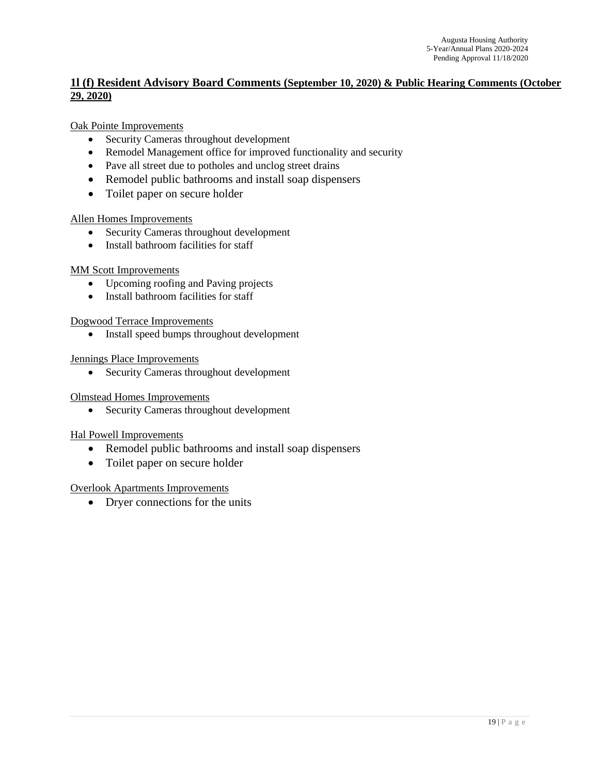### **1l (f) Resident Advisory Board Comments (September 10, 2020) & Public Hearing Comments (October 29, 2020)**

#### Oak Pointe Improvements

- Security Cameras throughout development
- Remodel Management office for improved functionality and security
- Pave all street due to potholes and unclog street drains
- Remodel public bathrooms and install soap dispensers
- Toilet paper on secure holder

#### Allen Homes Improvements

- Security Cameras throughout development
- Install bathroom facilities for staff

#### MM Scott Improvements

- Upcoming roofing and Paving projects
- Install bathroom facilities for staff

Dogwood Terrace Improvements

• Install speed bumps throughout development

#### Jennings Place Improvements

• Security Cameras throughout development

#### Olmstead Homes Improvements

• Security Cameras throughout development

#### Hal Powell Improvements

- Remodel public bathrooms and install soap dispensers
- Toilet paper on secure holder

#### Overlook Apartments Improvements

• Dryer connections for the units